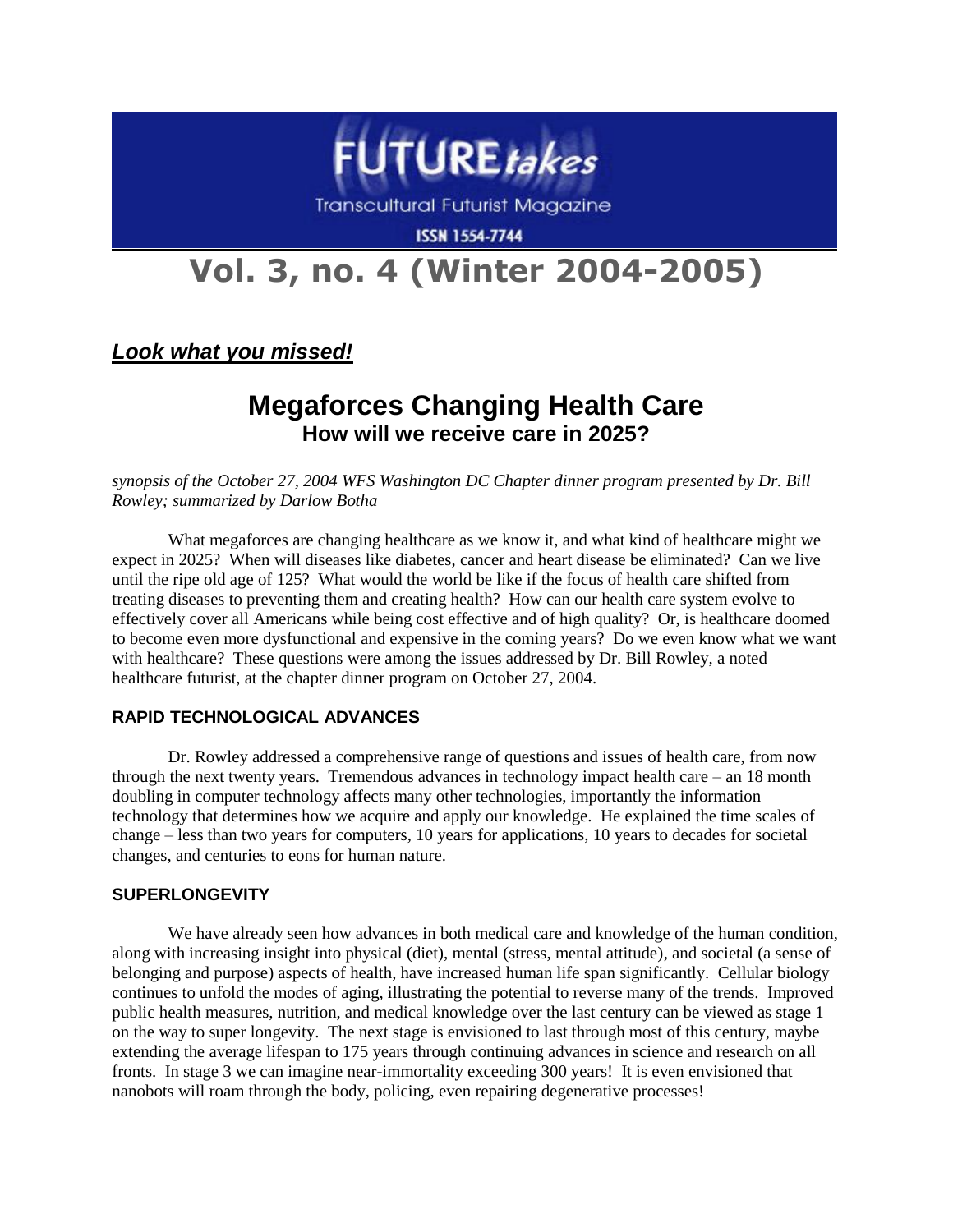

**Transcultural Futurist Magazine** 

**ISSN 1554-7744** 

# **Vol. 3, no. 4 (Winter 2004-2005)**

*Look what you missed!*

# **Megaforces Changing Health Care How will we receive care in 2025?**

*synopsis of the October 27, 2004 WFS Washington DC Chapter dinner program presented by Dr. Bill Rowley; summarized by Darlow Botha*

What megaforces are changing healthcare as we know it, and what kind of healthcare might we expect in 2025? When will diseases like diabetes, cancer and heart disease be eliminated? Can we live until the ripe old age of 125? What would the world be like if the focus of health care shifted from treating diseases to preventing them and creating health? How can our health care system evolve to effectively cover all Americans while being cost effective and of high quality? Or, is healthcare doomed to become even more dysfunctional and expensive in the coming years? Do we even know what we want with healthcare? These questions were among the issues addressed by Dr. Bill Rowley, a noted healthcare futurist, at the chapter dinner program on October 27, 2004.

# **RAPID TECHNOLOGICAL ADVANCES**

Dr. Rowley addressed a comprehensive range of questions and issues of health care, from now through the next twenty years. Tremendous advances in technology impact health care – an 18 month doubling in computer technology affects many other technologies, importantly the information technology that determines how we acquire and apply our knowledge. He explained the time scales of change – less than two years for computers, 10 years for applications, 10 years to decades for societal changes, and centuries to eons for human nature.

# **SUPERLONGEVITY**

We have already seen how advances in both medical care and knowledge of the human condition, along with increasing insight into physical (diet), mental (stress, mental attitude), and societal (a sense of belonging and purpose) aspects of health, have increased human life span significantly. Cellular biology continues to unfold the modes of aging, illustrating the potential to reverse many of the trends. Improved public health measures, nutrition, and medical knowledge over the last century can be viewed as stage 1 on the way to super longevity. The next stage is envisioned to last through most of this century, maybe extending the average lifespan to 175 years through continuing advances in science and research on all fronts. In stage 3 we can imagine near-immortality exceeding 300 years! It is even envisioned that nanobots will roam through the body, policing, even repairing degenerative processes!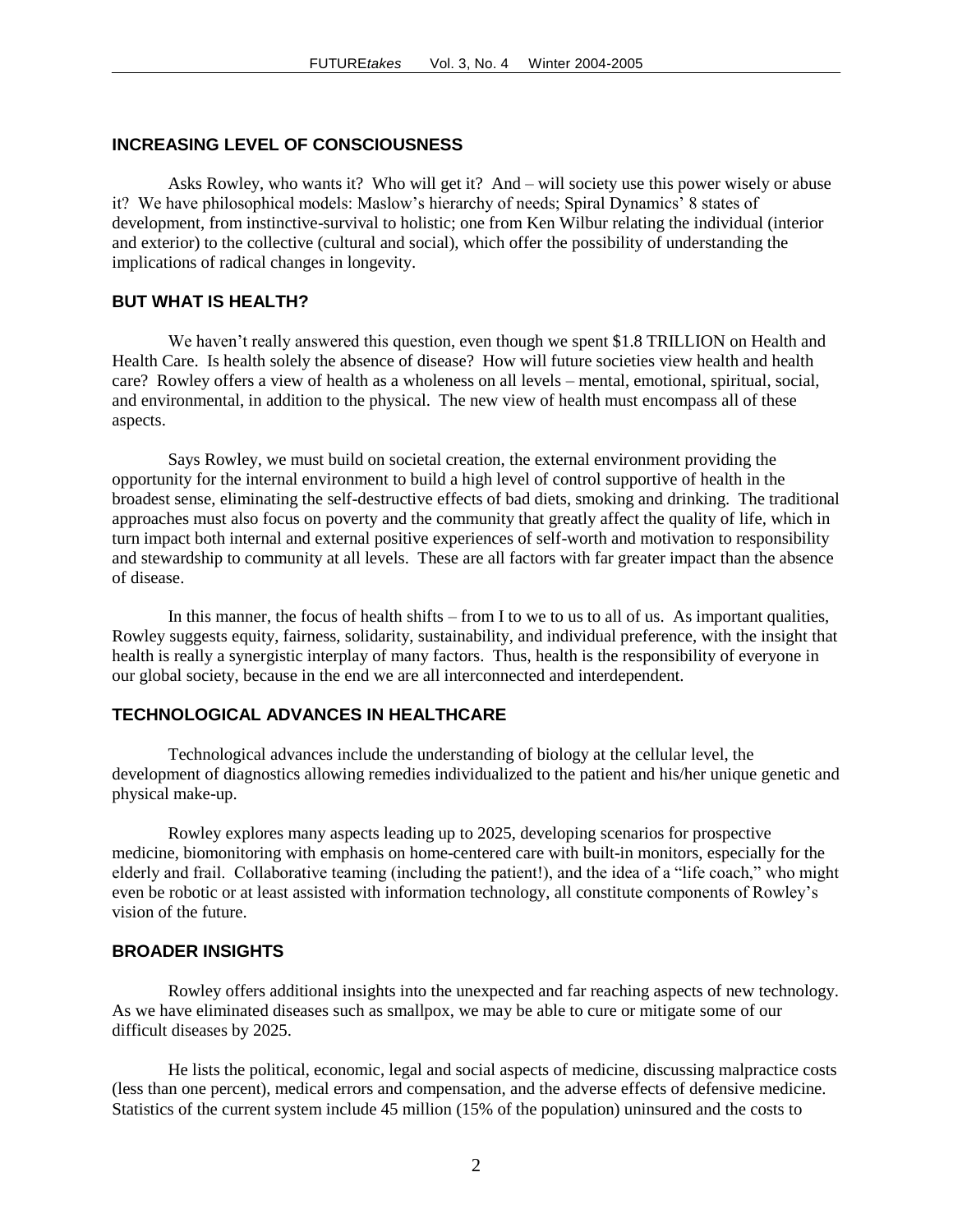#### **INCREASING LEVEL OF CONSCIOUSNESS**

Asks Rowley, who wants it? Who will get it? And – will society use this power wisely or abuse it? We have philosophical models: Maslow's hierarchy of needs; Spiral Dynamics' 8 states of development, from instinctive-survival to holistic; one from Ken Wilbur relating the individual (interior and exterior) to the collective (cultural and social), which offer the possibility of understanding the implications of radical changes in longevity.

# **BUT WHAT IS HEALTH?**

We haven't really answered this question, even though we spent \$1.8 TRILLION on Health and Health Care. Is health solely the absence of disease? How will future societies view health and health care? Rowley offers a view of health as a wholeness on all levels – mental, emotional, spiritual, social, and environmental, in addition to the physical. The new view of health must encompass all of these aspects.

Says Rowley, we must build on societal creation, the external environment providing the opportunity for the internal environment to build a high level of control supportive of health in the broadest sense, eliminating the self-destructive effects of bad diets, smoking and drinking. The traditional approaches must also focus on poverty and the community that greatly affect the quality of life, which in turn impact both internal and external positive experiences of self-worth and motivation to responsibility and stewardship to community at all levels. These are all factors with far greater impact than the absence of disease.

In this manner, the focus of health shifts – from I to we to us to all of us. As important qualities, Rowley suggests equity, fairness, solidarity, sustainability, and individual preference, with the insight that health is really a synergistic interplay of many factors. Thus, health is the responsibility of everyone in our global society, because in the end we are all interconnected and interdependent.

### **TECHNOLOGICAL ADVANCES IN HEALTHCARE**

Technological advances include the understanding of biology at the cellular level, the development of diagnostics allowing remedies individualized to the patient and his/her unique genetic and physical make-up.

Rowley explores many aspects leading up to 2025, developing scenarios for prospective medicine, biomonitoring with emphasis on home-centered care with built-in monitors, especially for the elderly and frail. Collaborative teaming (including the patient!), and the idea of a "life coach," who might even be robotic or at least assisted with information technology, all constitute components of Rowley's vision of the future.

# **BROADER INSIGHTS**

Rowley offers additional insights into the unexpected and far reaching aspects of new technology. As we have eliminated diseases such as smallpox, we may be able to cure or mitigate some of our difficult diseases by 2025.

He lists the political, economic, legal and social aspects of medicine, discussing malpractice costs (less than one percent), medical errors and compensation, and the adverse effects of defensive medicine. Statistics of the current system include 45 million (15% of the population) uninsured and the costs to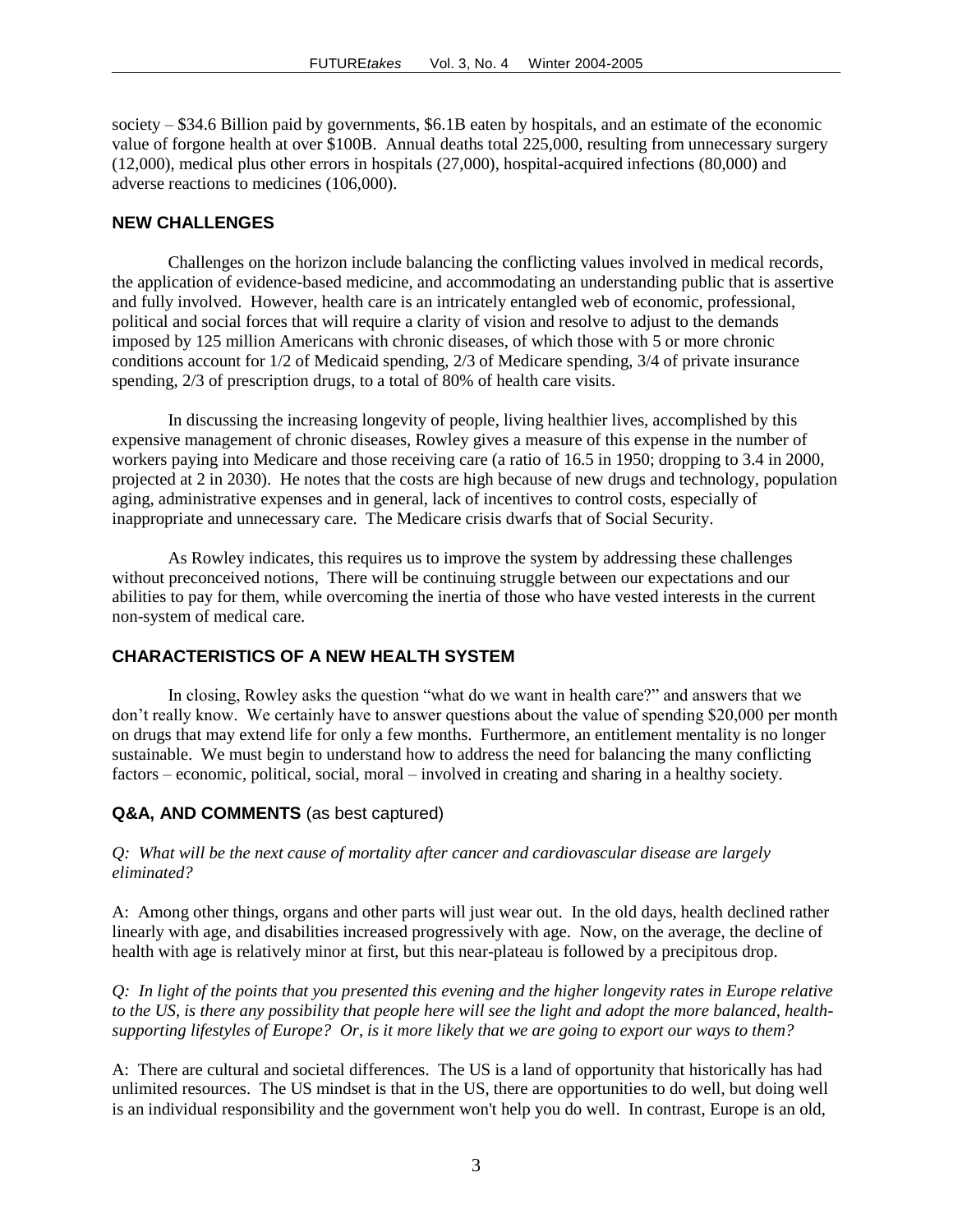society – \$34.6 Billion paid by governments, \$6.1B eaten by hospitals, and an estimate of the economic value of forgone health at over \$100B. Annual deaths total 225,000, resulting from unnecessary surgery (12,000), medical plus other errors in hospitals (27,000), hospital-acquired infections (80,000) and adverse reactions to medicines (106,000).

#### **NEW CHALLENGES**

Challenges on the horizon include balancing the conflicting values involved in medical records, the application of evidence-based medicine, and accommodating an understanding public that is assertive and fully involved. However, health care is an intricately entangled web of economic, professional, political and social forces that will require a clarity of vision and resolve to adjust to the demands imposed by 125 million Americans with chronic diseases, of which those with 5 or more chronic conditions account for 1/2 of Medicaid spending, 2/3 of Medicare spending, 3/4 of private insurance spending, 2/3 of prescription drugs, to a total of 80% of health care visits.

In discussing the increasing longevity of people, living healthier lives, accomplished by this expensive management of chronic diseases, Rowley gives a measure of this expense in the number of workers paying into Medicare and those receiving care (a ratio of 16.5 in 1950; dropping to 3.4 in 2000, projected at 2 in 2030). He notes that the costs are high because of new drugs and technology, population aging, administrative expenses and in general, lack of incentives to control costs, especially of inappropriate and unnecessary care. The Medicare crisis dwarfs that of Social Security.

As Rowley indicates, this requires us to improve the system by addressing these challenges without preconceived notions, There will be continuing struggle between our expectations and our abilities to pay for them, while overcoming the inertia of those who have vested interests in the current non-system of medical care.

#### **CHARACTERISTICS OF A NEW HEALTH SYSTEM**

In closing, Rowley asks the question "what do we want in health care?" and answers that we don't really know. We certainly have to answer questions about the value of spending \$20,000 per month on drugs that may extend life for only a few months. Furthermore, an entitlement mentality is no longer sustainable. We must begin to understand how to address the need for balancing the many conflicting factors – economic, political, social, moral – involved in creating and sharing in a healthy society.

#### **Q&A, AND COMMENTS** (as best captured)

#### *Q: What will be the next cause of mortality after cancer and cardiovascular disease are largely eliminated?*

A: Among other things, organs and other parts will just wear out. In the old days, health declined rather linearly with age, and disabilities increased progressively with age. Now, on the average, the decline of health with age is relatively minor at first, but this near-plateau is followed by a precipitous drop.

*Q: In light of the points that you presented this evening and the higher longevity rates in Europe relative to the US, is there any possibility that people here will see the light and adopt the more balanced, healthsupporting lifestyles of Europe? Or, is it more likely that we are going to export our ways to them?*

A: There are cultural and societal differences. The US is a land of opportunity that historically has had unlimited resources. The US mindset is that in the US, there are opportunities to do well, but doing well is an individual responsibility and the government won't help you do well. In contrast, Europe is an old,